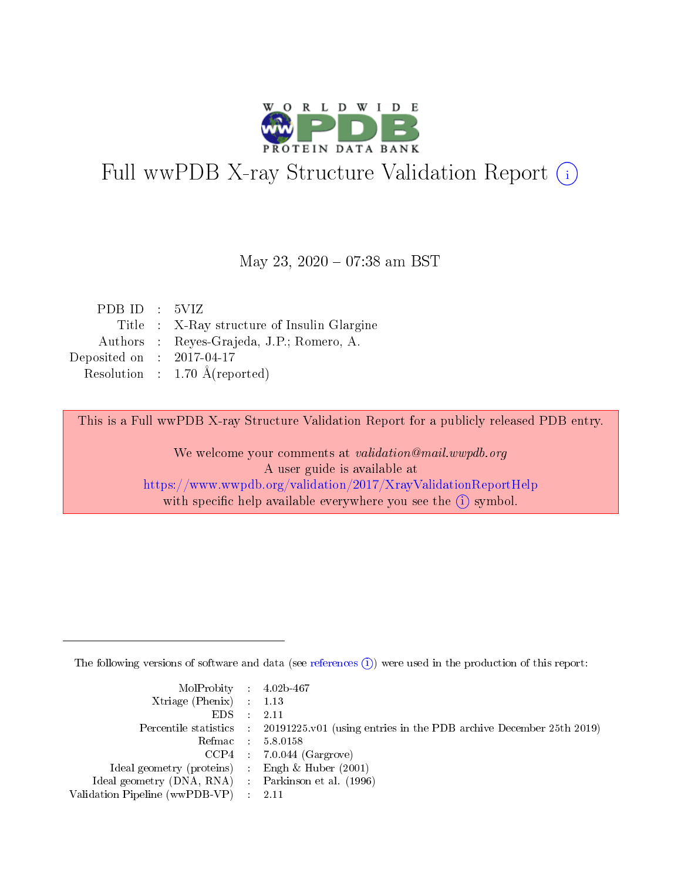

# Full wwPDB X-ray Structure Validation Report (i)

#### May 23, 2020 - 07:38 am BST

| PDB ID : 5VIZ               |                                             |
|-----------------------------|---------------------------------------------|
|                             | Title : X-Ray structure of Insulin Glargine |
|                             | Authors : Reyes-Grajeda, J.P.; Romero, A.   |
| Deposited on : $2017-04-17$ |                                             |
|                             | Resolution : $1.70 \text{ Å}$ (reported)    |

This is a Full wwPDB X-ray Structure Validation Report for a publicly released PDB entry.

We welcome your comments at validation@mail.wwpdb.org A user guide is available at <https://www.wwpdb.org/validation/2017/XrayValidationReportHelp> with specific help available everywhere you see the  $(i)$  symbol.

The following versions of software and data (see [references](https://www.wwpdb.org/validation/2017/XrayValidationReportHelp#references)  $(i)$ ) were used in the production of this report:

| $MolProbability$ 4.02b-467     |                                                                                            |
|--------------------------------|--------------------------------------------------------------------------------------------|
| $Xtriangle (Phenix)$ : 1.13    |                                                                                            |
| EDS –                          | 2.11                                                                                       |
|                                | Percentile statistics : 20191225.v01 (using entries in the PDB archive December 25th 2019) |
| Refmac :                       | 5.8.0158                                                                                   |
| $CCP4$ :                       | $7.0.044$ (Gargrove)                                                                       |
| Ideal geometry (proteins) :    | Engh $\&$ Huber (2001)                                                                     |
| Ideal geometry (DNA, RNA) :    | Parkinson et al. (1996)                                                                    |
| Validation Pipeline (wwPDB-VP) | 2.11                                                                                       |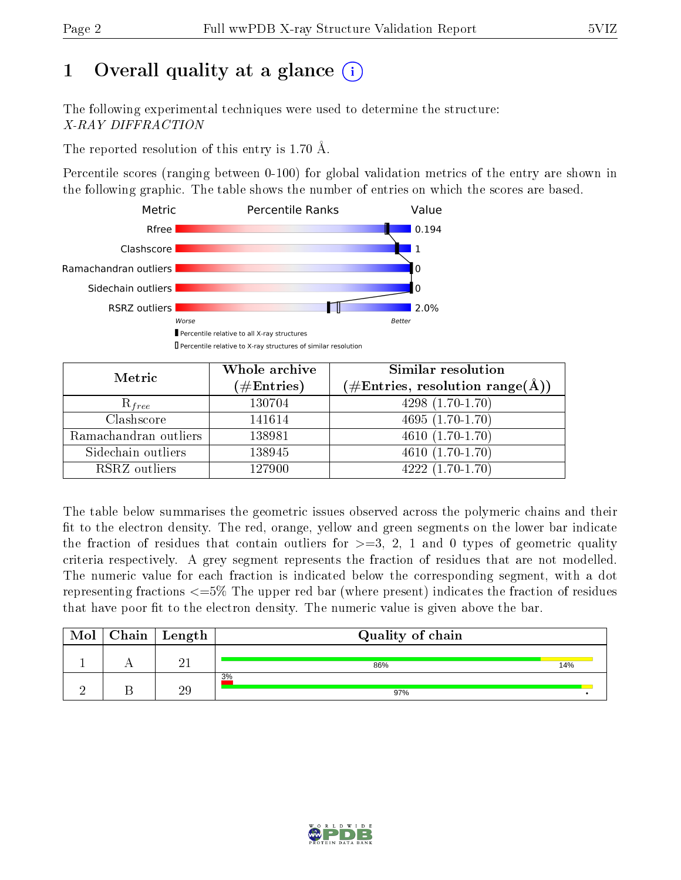## 1 [O](https://www.wwpdb.org/validation/2017/XrayValidationReportHelp#overall_quality)verall quality at a glance  $(i)$

The following experimental techniques were used to determine the structure: X-RAY DIFFRACTION

The reported resolution of this entry is 1.70 Å.

Percentile scores (ranging between 0-100) for global validation metrics of the entry are shown in the following graphic. The table shows the number of entries on which the scores are based.



| Metric                | Whole archive<br>$(\#\text{Entries})$ | Similar resolution<br>$(\#\text{Entries}, \, \text{resolution range}(\textup{\AA}))$ |  |  |
|-----------------------|---------------------------------------|--------------------------------------------------------------------------------------|--|--|
| $R_{free}$            | 130704                                | $4298(1.70-1.70)$                                                                    |  |  |
| Clashscore            | 141614                                | 4695 $(1.70-1.70)$                                                                   |  |  |
| Ramachandran outliers | 138981                                | $\overline{4610}$ $(1.70-1.70)$                                                      |  |  |
| Sidechain outliers    | 138945                                | $4610(1.70-1.70)$                                                                    |  |  |
| RSRZ outliers         | 127900                                | $4222(1.70-1.70)$                                                                    |  |  |

The table below summarises the geometric issues observed across the polymeric chains and their fit to the electron density. The red, orange, yellow and green segments on the lower bar indicate the fraction of residues that contain outliers for  $>=3, 2, 1$  and 0 types of geometric quality criteria respectively. A grey segment represents the fraction of residues that are not modelled. The numeric value for each fraction is indicated below the corresponding segment, with a dot representing fractions  $\epsilon=5\%$  The upper red bar (where present) indicates the fraction of residues that have poor fit to the electron density. The numeric value is given above the bar.

| Mol | ${\rm Chain \mid Length}$ | Quality of chain |     |
|-----|---------------------------|------------------|-----|
|     | $\Omega$ 1                | 86%              | 14% |
|     | ЭC                        | 3%<br>97%        |     |

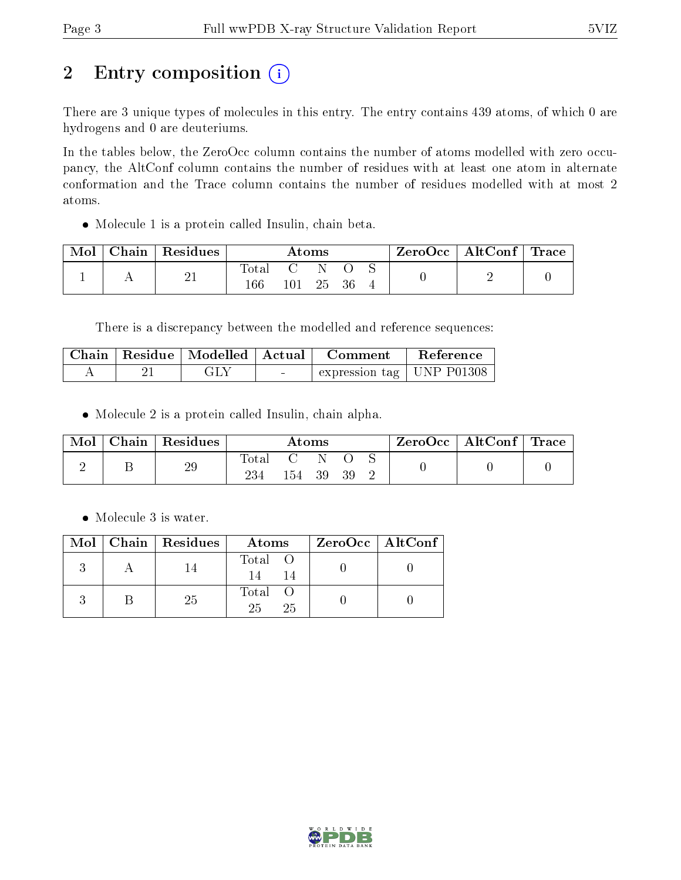# 2 Entry composition (i)

There are 3 unique types of molecules in this entry. The entry contains 439 atoms, of which 0 are hydrogens and 0 are deuteriums.

In the tables below, the ZeroOcc column contains the number of atoms modelled with zero occupancy, the AltConf column contains the number of residues with at least one atom in alternate conformation and the Trace column contains the number of residues modelled with at most 2 atoms.

Molecule 1 is a protein called Insulin, chain beta.

| Mol | Chain   Residues | $\rm{Atoms}$           |                              |     | $\text{ZeroOcc} \mid \text{AltConf} \mid \text{Trace}$ |  |  |  |
|-----|------------------|------------------------|------------------------------|-----|--------------------------------------------------------|--|--|--|
|     | 21               | $\rm Total$<br>$166\,$ | $\mathcal{C}_{\cdot}$<br>101 | -25 | -36                                                    |  |  |  |

There is a discrepancy between the modelled and reference sequences:

|  | Chain   Residue   Modelled   Actual |                          | <b>Comment</b>              | Reference |
|--|-------------------------------------|--------------------------|-----------------------------|-----------|
|  | GLY                                 | <b>Contract Contract</b> | expression tag   UNP P01308 |           |

Molecule 2 is a protein called Insulin, chain alpha.

| Mol | Chain   Residues | Atoms            |     |      | ZeroOcc   AltConf   Trace |  |  |  |
|-----|------------------|------------------|-----|------|---------------------------|--|--|--|
|     | 29               | Total C N<br>234 | 154 | - 39 | - 39                      |  |  |  |

Molecule 3 is water.

|  | $Mol$   Chain   Residues | Atoms               | ZeroOcc   AltConf |
|--|--------------------------|---------------------|-------------------|
|  |                          | Total O             |                   |
|  | 25                       | Total O<br>25<br>25 |                   |

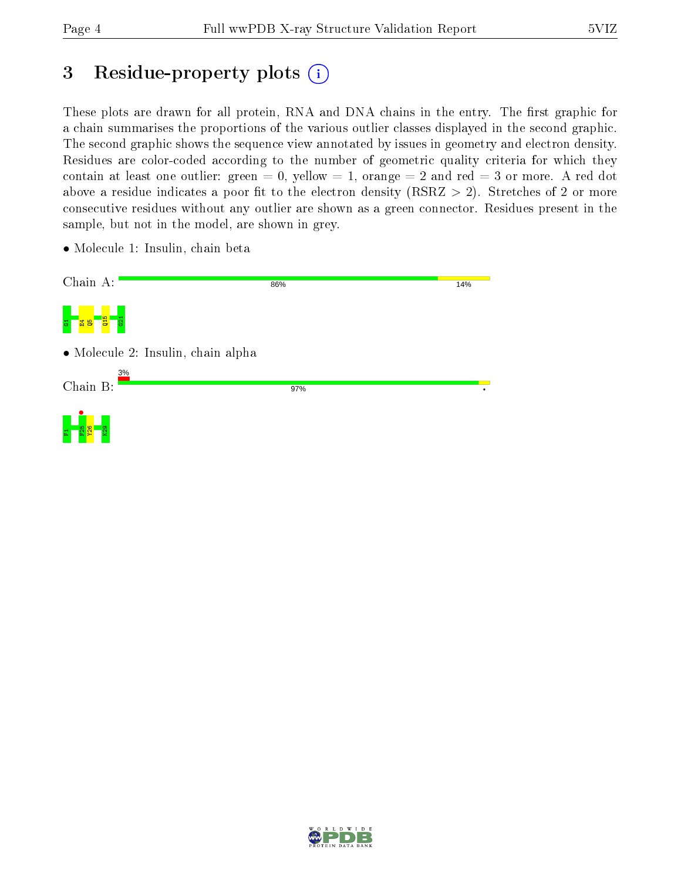## 3 Residue-property plots  $(i)$

These plots are drawn for all protein, RNA and DNA chains in the entry. The first graphic for a chain summarises the proportions of the various outlier classes displayed in the second graphic. The second graphic shows the sequence view annotated by issues in geometry and electron density. Residues are color-coded according to the number of geometric quality criteria for which they contain at least one outlier: green  $= 0$ , yellow  $= 1$ , orange  $= 2$  and red  $= 3$  or more. A red dot above a residue indicates a poor fit to the electron density (RSRZ  $> 2$ ). Stretches of 2 or more consecutive residues without any outlier are shown as a green connector. Residues present in the sample, but not in the model, are shown in grey.

• Molecule 1: Insulin, chain beta

| Chain A:                              | 86% | 14% |
|---------------------------------------|-----|-----|
| <b>arg</b><br>621<br><b>굽용</b><br>퓽   |     |     |
| • Molecule 2: Insulin, chain alpha    |     |     |
| 3%<br>Chain B:                        | 97% |     |
| $\frac{5}{8}$<br>R <sub>29</sub><br>革 |     |     |

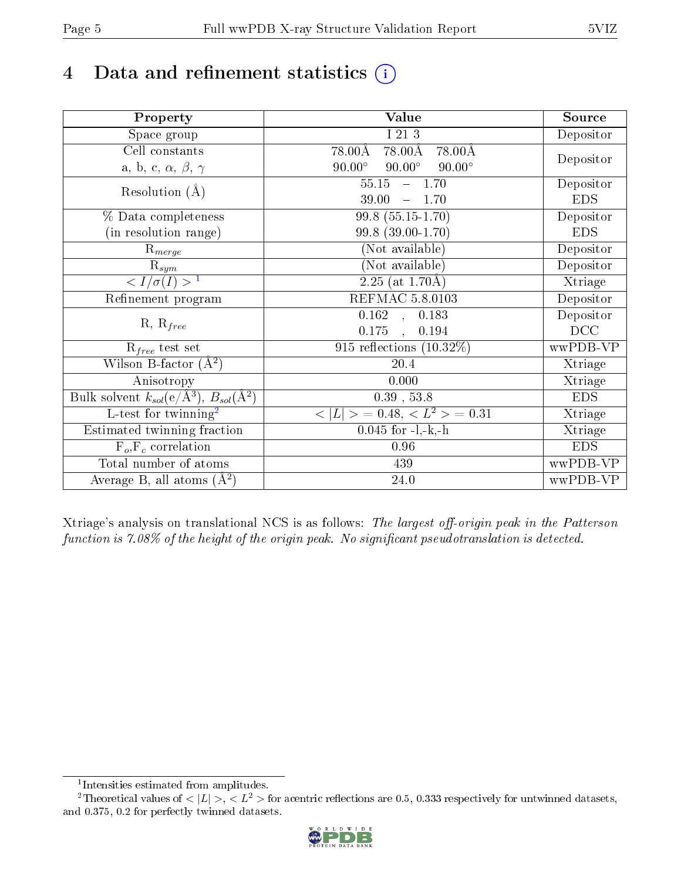## 4 Data and refinement statistics  $(i)$

| Property                                                             | Value                                            | Source     |
|----------------------------------------------------------------------|--------------------------------------------------|------------|
| Space group                                                          | I 21 3                                           | Depositor  |
| Cell constants                                                       | 78.00Å<br>$78.00\text{\AA}$<br>$78.00\text{\AA}$ |            |
| a, b, c, $\alpha$ , $\beta$ , $\gamma$                               | $90.00^\circ$<br>$90.00^\circ$<br>$90.00^\circ$  | Depositor  |
| Resolution $(A)$                                                     | 55.15<br>$-1.70$                                 | Depositor  |
|                                                                      | 39.00<br>1.70                                    | <b>EDS</b> |
| % Data completeness                                                  | 99.8 (55.15-1.70)                                | Depositor  |
| (in resolution range)                                                | 99.8 (39.00-1.70)                                | <b>EDS</b> |
| $R_{merge}$                                                          | (Not available)                                  | Depositor  |
| $\mathrm{R}_{sym}$                                                   | (Not available)                                  | Depositor  |
| $\langle I/\sigma(I) \rangle^{-1}$                                   | $\overline{2.25 \text{ (at } 1.70 \text{\AA})}$  | Xtriage    |
| Refinement program                                                   | <b>REFMAC 5.8.0103</b>                           | Depositor  |
| $R, R_{free}$                                                        | $\overline{0.162}$ ,<br>0.183                    | Depositor  |
|                                                                      | 0.175<br>0.194<br>$\ddot{\phantom{a}}$           | DCC        |
| $R_{free}$ test set                                                  | 915 reflections $(10.32\%)$                      | wwPDB-VP   |
| Wilson B-factor $(A^2)$                                              | 20.4                                             | Xtriage    |
| Anisotropy                                                           | 0.000                                            | Xtriage    |
| Bulk solvent $k_{sol}(e/\mathring{A}^3)$ , $B_{sol}(\mathring{A}^2)$ | $0.39$ , 53.8                                    | <b>EDS</b> |
| L-test for twinning <sup>2</sup>                                     | $>$ = 0.48, < $L^2$ > = 0.31<br>< L              | Xtriage    |
| Estimated twinning fraction                                          | $0.045$ for $-l,-k,-h$                           | Xtriage    |
| $F_o, F_c$ correlation                                               | 0.96                                             | <b>EDS</b> |
| Total number of atoms                                                | 439                                              | wwPDB-VP   |
| Average B, all atoms $(A^2)$                                         | $24.0\,$                                         | wwPDB-VP   |

Xtriage's analysis on translational NCS is as follows: The largest off-origin peak in the Patterson function is  $7.08\%$  of the height of the origin peak. No significant pseudotranslation is detected.

<sup>&</sup>lt;sup>2</sup>Theoretical values of  $\langle |L| \rangle$ ,  $\langle L^2 \rangle$  for acentric reflections are 0.5, 0.333 respectively for untwinned datasets, and 0.375, 0.2 for perfectly twinned datasets.



<span id="page-4-1"></span><span id="page-4-0"></span><sup>1</sup> Intensities estimated from amplitudes.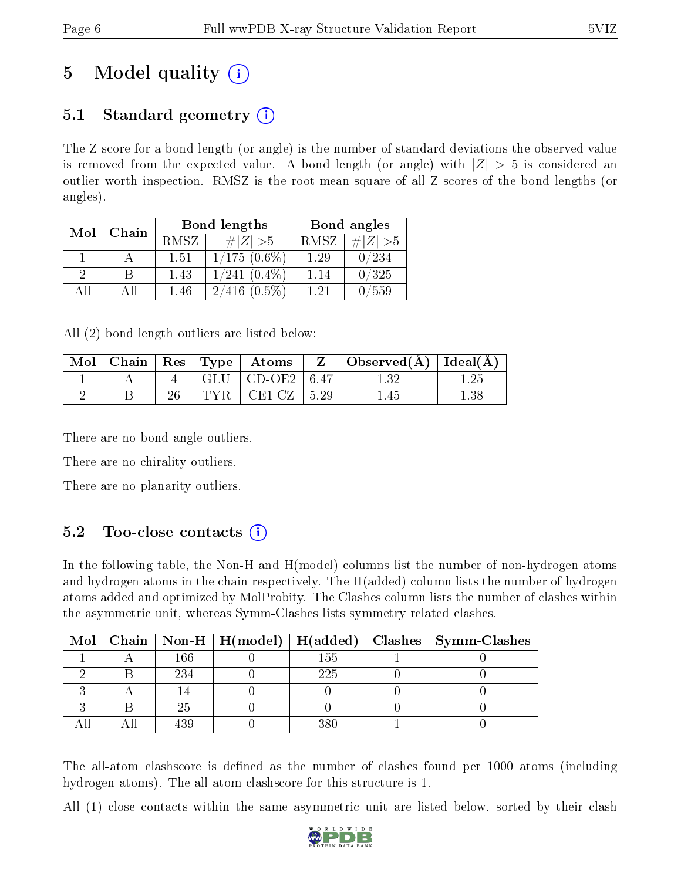## 5 Model quality  $(i)$

## 5.1 Standard geometry  $(i)$

The Z score for a bond length (or angle) is the number of standard deviations the observed value is removed from the expected value. A bond length (or angle) with  $|Z| > 5$  is considered an outlier worth inspection. RMSZ is the root-mean-square of all Z scores of the bond lengths (or angles).

| Mol           | Chain |      | <b>Bond lengths</b> | Bond angles |                |  |
|---------------|-------|------|---------------------|-------------|----------------|--|
|               |       | RMSZ | $\# Z  > 5$         | RMSZ        | $\ Z\  > 5$    |  |
|               |       | 1.51 | $1/175$ $(0.6\%)$   | 1.29        | /234           |  |
| $\mathcal{D}$ | B     | 1.43 | $1/241$ $(0.4\%)$   | 1.14        | 0/325          |  |
| ΑĦ            | ΑH    | 1.46 | 2/416<br>$(0.5\%)$  | 1.21        | $^{\prime}559$ |  |

All (2) bond length outliers are listed below:

| $\operatorname{Mol}$ |  |       | $\mid$ Chain $\mid$ Res $\mid$ Type $\mid$ Atoms | Z | $\vert$ Observed( $\rm \AA$ ) $\vert$ Ideal( $\rm \AA$ ) |          |
|----------------------|--|-------|--------------------------------------------------|---|----------------------------------------------------------|----------|
|                      |  |       | GLU $\vert$ CD-OE2 $\vert$ 6.47                  |   | 132                                                      |          |
|                      |  | TYR . | $CE1-CZ$   5.29                                  |   | -45                                                      | $1.38\,$ |

There are no bond angle outliers.

There are no chirality outliers.

There are no planarity outliers.

### 5.2 Too-close contacts  $\overline{()}$

In the following table, the Non-H and H(model) columns list the number of non-hydrogen atoms and hydrogen atoms in the chain respectively. The H(added) column lists the number of hydrogen atoms added and optimized by MolProbity. The Clashes column lists the number of clashes within the asymmetric unit, whereas Symm-Clashes lists symmetry related clashes.

|  |     |     | Mol   Chain   Non-H   H(model)   H(added)   Clashes   Symm-Clashes |
|--|-----|-----|--------------------------------------------------------------------|
|  | 166 | 155 |                                                                    |
|  | 234 | 225 |                                                                    |
|  |     |     |                                                                    |
|  | 25  |     |                                                                    |
|  |     | 380 |                                                                    |

The all-atom clashscore is defined as the number of clashes found per 1000 atoms (including hydrogen atoms). The all-atom clashscore for this structure is 1.

All (1) close contacts within the same asymmetric unit are listed below, sorted by their clash

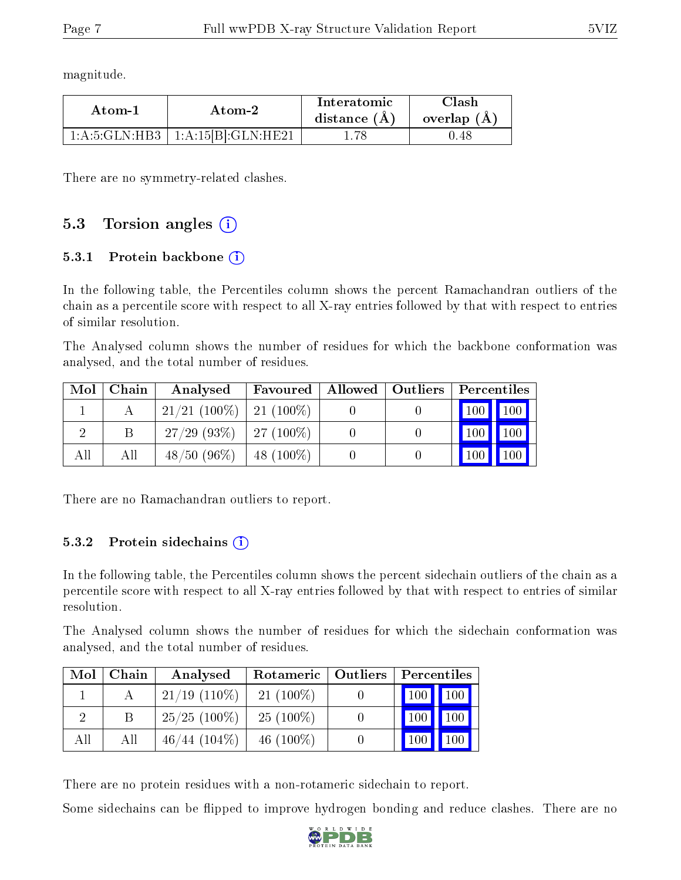magnitude.

| Atom-1          | Atom-2                       | Interatomic<br>distance $(A)$ | Clash<br>overlap $(A)$ |  |
|-----------------|------------------------------|-------------------------------|------------------------|--|
| 1: A:5: GLN:HB3 | $^+$ 1:A:15[B]:GLN:HE21 $^+$ |                               | 0.48                   |  |

There are no symmetry-related clashes.

### 5.3 Torsion angles (i)

#### 5.3.1 Protein backbone  $(i)$

In the following table, the Percentiles column shows the percent Ramachandran outliers of the chain as a percentile score with respect to all X-ray entries followed by that with respect to entries of similar resolution.

The Analysed column shows the number of residues for which the backbone conformation was analysed, and the total number of residues.

| Mol | Chain | Analysed                    | Favoured    | Allowed   Outliers | Percentiles |         |
|-----|-------|-----------------------------|-------------|--------------------|-------------|---------|
|     |       | $21/21$ (100%)   21 (100%)  |             |                    |             | 100 100 |
|     |       | $27/29$ (93\%)   27 (100\%) |             |                    | $100 \mid$  | 100     |
| All | All   | $48/50(96\%)$               | $48(100\%)$ |                    | 100         | 100     |

There are no Ramachandran outliers to report.

#### 5.3.2 Protein sidechains  $\hat{1}$

In the following table, the Percentiles column shows the percent sidechain outliers of the chain as a percentile score with respect to all X-ray entries followed by that with respect to entries of similar resolution.

The Analysed column shows the number of residues for which the sidechain conformation was analysed, and the total number of residues.

| Mol | Chain | Analysed        | Rotameric   Outliers | Percentiles |             |
|-----|-------|-----------------|----------------------|-------------|-------------|
|     |       | $21/19$ (110\%) | $21(100\%)$          | $\vert$ 100 | $\vert$ 100 |
|     |       | $25/25$ (100\%) | $25(100\%)$          |             | 100         |
| All | All   | $46/44$ (104\%) | 46 $(100\%)$         |             | 100         |

There are no protein residues with a non-rotameric sidechain to report.

Some sidechains can be flipped to improve hydrogen bonding and reduce clashes. There are no

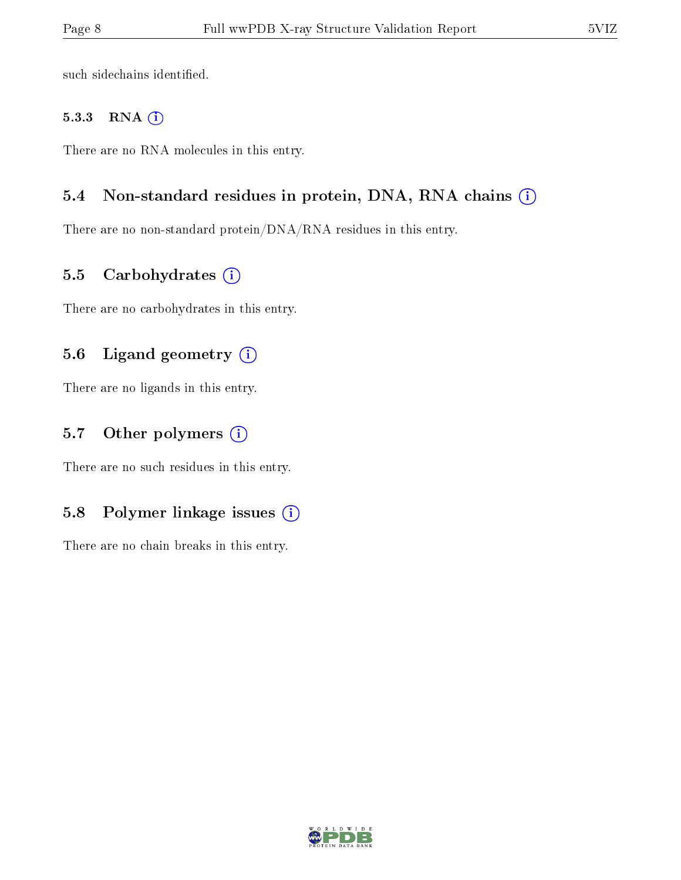such sidechains identified.

#### 5.3.3 RNA [O](https://www.wwpdb.org/validation/2017/XrayValidationReportHelp#rna)i

There are no RNA molecules in this entry.

#### 5.4 Non-standard residues in protein, DNA, RNA chains (i)

There are no non-standard protein/DNA/RNA residues in this entry.

#### 5.5 Carbohydrates  $(i)$

There are no carbohydrates in this entry.

#### 5.6 Ligand geometry (i)

There are no ligands in this entry.

#### 5.7 [O](https://www.wwpdb.org/validation/2017/XrayValidationReportHelp#nonstandard_residues_and_ligands)ther polymers  $(i)$

There are no such residues in this entry.

#### 5.8 Polymer linkage issues  $(i)$

There are no chain breaks in this entry.